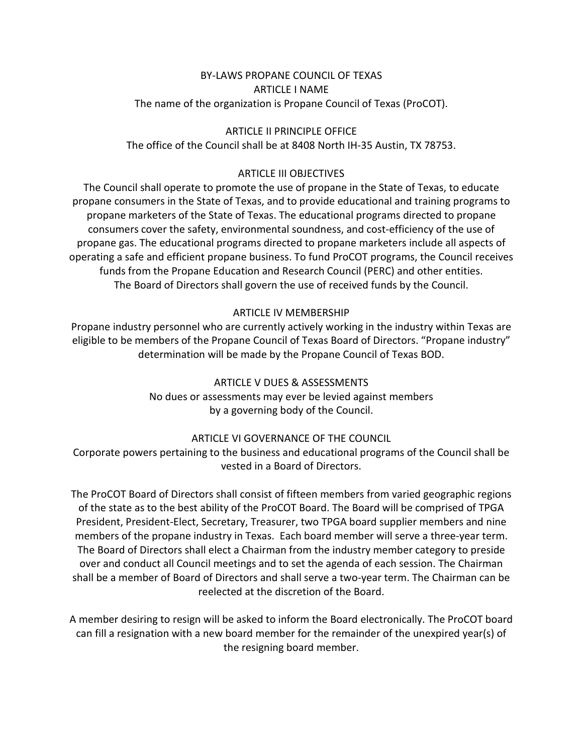## BY-LAWS PROPANE COUNCIL OF TEXAS ARTICLE I NAME The name of the organization is Propane Council of Texas (ProCOT).

#### ARTICLE II PRINCIPLE OFFICE

The office of the Council shall be at 8408 North IH-35 Austin, TX 78753.

### ARTICLE III OBJECTIVES

The Council shall operate to promote the use of propane in the State of Texas, to educate propane consumers in the State of Texas, and to provide educational and training programs to propane marketers of the State of Texas. The educational programs directed to propane consumers cover the safety, environmental soundness, and cost-efficiency of the use of propane gas. The educational programs directed to propane marketers include all aspects of operating a safe and efficient propane business. To fund ProCOT programs, the Council receives funds from the Propane Education and Research Council (PERC) and other entities. The Board of Directors shall govern the use of received funds by the Council.

### ARTICLE IV MEMBERSHIP

Propane industry personnel who are currently actively working in the industry within Texas are eligible to be members of the Propane Council of Texas Board of Directors. "Propane industry" determination will be made by the Propane Council of Texas BOD.

> ARTICLE V DUES & ASSESSMENTS No dues or assessments may ever be levied against members by a governing body of the Council.

# ARTICLE VI GOVERNANCE OF THE COUNCIL

Corporate powers pertaining to the business and educational programs of the Council shall be vested in a Board of Directors.

The ProCOT Board of Directors shall consist of fifteen members from varied geographic regions of the state as to the best ability of the ProCOT Board. The Board will be comprised of TPGA President, President-Elect, Secretary, Treasurer, two TPGA board supplier members and nine members of the propane industry in Texas. Each board member will serve a three-year term. The Board of Directors shall elect a Chairman from the industry member category to preside over and conduct all Council meetings and to set the agenda of each session. The Chairman shall be a member of Board of Directors and shall serve a two-year term. The Chairman can be reelected at the discretion of the Board.

A member desiring to resign will be asked to inform the Board electronically. The ProCOT board can fill a resignation with a new board member for the remainder of the unexpired year(s) of the resigning board member.